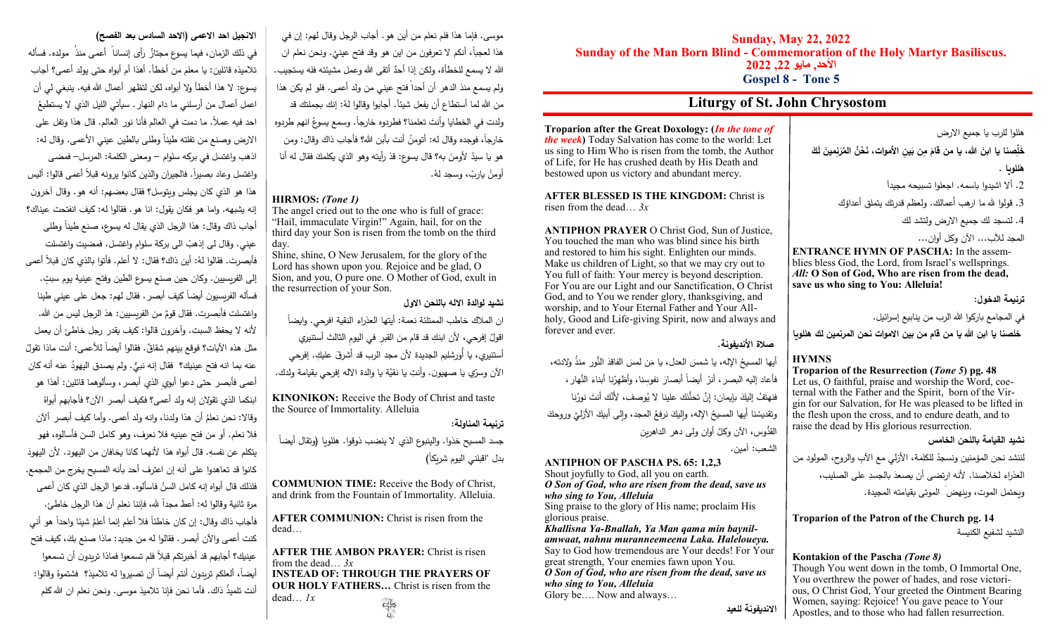# **االنجيل احد االعمى )االحد السادس بعد الفصح(**

في ذلك الزمان، فيما يسوع مجتازٌ رأى إنسانا ۖ أعمى منذ ۖ مولده. فسأله تالميذه قائلين: يا معلم من أخطأ. أهذا أم أبواه حتى يولد أعمى؟ أجاب يسوع: لا هذا أخطأ ولا أبواه، لكن لتظهر أعمال الله فيه. ينبغي لي أن اعمل أعمال من أرسلني ما دام النهار . سيأتي الليل الذي لا يستطيعُ احد فيه عمال.ً ما دمت في العالم فأنا نور العالم. قال هذا وتفل على الارض وصنع من تفلته طينا وطلي بالطين عيني الأعمى. وقال له: اذهب واغتسل في بركه سلوام – ومعنى الكلمة: المرسل– فمضى واغتسل وعاد بصيراً. فالجيران والذين كانوا يرونه قبلاً أعمى قالوا: أليس هذا هو الذي كان يجلس ويتوسل؟ فقال بعضهم: أنه هو. وقال آخرون إنه يشبهه. واما هو فكان يقول: انا هو. فقالوا له: كيف انفتحت عيناك؟ أجاب ذاك وقال: هذا الرجل الذي يقال له يسوع، صنع طينا وطلي عيني. وقال لـى إذهبْ الـى بركة سلوام واغتسل. فمضيت واغتسلت **ٔ** فأبصرت. فقالوا لهُ: أين ذاك؟ فقال: لا أعلم. فأتوا بالذي كان قبلاً أعمى ٍت. إلى الفريسيين. وكان حين صنع يسوع الطين وفتح عينية يوم سب فسأله الفريِسيون أيضاً كيف أبصر . فقال لهم: جعل على عيني طينا واغتسلت فأبصرت. فقال قومٌ من الفريسيين: هذ الرجل ليس من الله.<br>. ألنه ال يحفظ السبت. وآخرون قالوا: كيف يقدر رجل خاطئ أن يعمل مثل هذه الأيات؟ فوقع بينهم شقاقٌ. فقالوا أيضا للأعمى: أنت ماذا تقولُ عنه بما انه فتح عينيك؟ فقال إنه نبيٍّ. ولم يصدق اليهودُ عنه أنه كان أعمى فأبصر حتى دعوا أبويِ الذي أبصر، وسألوهما قائلين: أهذا هو ابنكما الذي تقولان إنه ولد أعمى؟ فكيف أبصر الآن؟ فأجابهم أبواهُ وقالاً: نحن نعلمُ أن هذا ولدنا، وانه ولد أعمى. وأما كيف أبصر ألأن فال نعلم. أو من فتح عينيه فال نعرف، وهو كامل السن فأسالوه، فهو ٔ. يتكلم عن نفسهِ. قال أبواه هذا لأنهما كانا يخافان من اليهود. لأن اليهودَ كانوا قد تعاهدوا على أنه إن اعترف أحد بأنه المسيح يخرج من المجمع. فلذلك قال أبواه إنه كامل السنُ فاسألوه. فدعوا الرجل الذي كان أعمى مرة ثانية وقالوا له: أعط مجداً لله، فإننا نعلم أن هذا الرجل خاطئ. فأجاب ذاك وقال: إن كان خاطئا فلا أعلم إنما أعلمُ شيئا واحدا هو أني كنت أعمى والأن أبصر . فقالوا له من جديد: ماذا صنع بكَ، كيف فتح َ عينيك؟ أجابهم قد أخبرتكم قبالً فلم تسمعوا فماذا تريدون أن تسمعوا أيضاً، ألعلكم تريدون أنتم أيضاً أن تصيروا له تلاميذ؟ فشتموهُ وقالوا: أنت تلميذُ ذاك. فأما نحن فإنا تلاميذ موسى. ونحن نعلم ان الله كلم

موسى. فإما هذا فلم نعلم من أين هو. أجاب الرجل وقال لهم: إن في هذا لعجباً، أنكم لا تعرفون من اين هو وقد فتح عينيً. ونحن نعلم ان الله لا يسمع للخطأة، ولكن إذا أحدٌ أتقى الله وعمل مشيئته فله يستجيب. ولم يسمع منذ الدهر أن أحدا ً فتح عيني من ولد أعمى. فلو لم يكن هذا من الله لما أستطاع أن يفعل شيئاً. أجابوا وقالوا لهُ: إنك بجملتك قد ولدت في الخطايا وأنتَ تعلمنا؟ فطردوه خارجا. وسمع يسوعُ انهم طردوه خارجا، فوجده وقال له: أتومنُ أنت بأبن الله؟ فأجاب ذاك وقال: ومن هو يا سيدُ لأومنَ به؟ قال يسوع: قذ رأيته وهو الذي يكلمكَ فقال له أنا أومنُ ياربّ، وسجد لهُ.<br>.

### **HIRMOS:** *(Tone 1)*

The angel cried out to the one who is full of grace: "Hail, immaculate Virgin!" Again, hail, for on the third day your Son is risen from the tomb on the third day.

Shine, shine, O New Jerusalem, for the glory of the Lord has shown upon you. Rejoice and be glad, O Sion, and you, O pure one. O Mother of God, exult in the resurrection of your Son.

**نشيد لوالدة االله باللحن االول**

ان الملاك خاطب الممتلئة نعمة: أيتها العذراء النقية افرحي. وايضاً اقولُ إفرحي، لأن ابنكِ قد قام من القبرِ في اليومِ الثالث أستتير*ي*<br>. أستنيري، يا أُورشليم الجديدة لأن مجد الرب قد أَشرقَ عليكِ. إفرحي الآن وسرّي يا صهيون. وأنتِ يا نقيَّة يا والدة الآله إفرحي بقيامة ولدك.

**KINONIKON:** Receive the Body of Christ and taste the Source of Immortality. Alleluia

**ترنيمة المناولة:**

جسد المسيح خذوا. والينبوع الذي لا ينضب ذوقوا. هللويا (وتقال أيضا )ً بدل "اقبلني اليوم شريكا

**COMMUNION TIME:** Receive the Body of Christ, and drink from the Fountain of Immortality. Alleluia.

**AFTER COMMUNION:** Christ is risen from the dead…

**AFTER THE AMBON PRAYER:** Christ is risen from the dead… *3x* **INSTEAD OF: THROUGH THE PRAYERS OF OUR HOLY FATHERS…** Christ is risen from the dead… *1x*  $\zeta_{\rm p}$ 

**Sunday, May 22, 2022 Sunday of the Man Born Blind - Commemoration of the Holy Martyr Basiliscus. األحد, مايو ,22 2222**

**Gospel 8 - Tone 5**

# **Liturgy of St. John Chrysostom**

**Troparion after the Great Doxology: (***In the tone of the week***)** Today Salvation has come to the world: Let us sing to Him Who is risen from the tomb, the Author of Life, for He has crushed death by His Death and bestowed upon us victory and abundant mercy.

**AFTER BLESSED IS THE KINGDOM:** Christ is risen from the dead… *3x*

**ANTIPHON PRAYER** O Christ God, Sun of Justice, You touched the man who was blind since his birth and restored to him his sight. Enlighten our minds. Make us children of Light, so that we may cry out to You full of faith: Your mercy is beyond description. For You are our Light and our Sanctification, O Christ God, and to You we render glory, thanksgiving, and worship, and to Your Eternal Father and Your Allholy, Good and Life-giving Spirit, now and always and forever and ever.

**صالة األنديفونة**.

أيها الممسيحُ الإله، يا شمسَ العدل، يا مَن لمسَ الفاقدَ النُّور منذَ ولادته،<br>-فأعاد إليه البصر ، أنز أيضاً أبصارَ نفوسِنا، وأظهِرْنا أبناءَ النَّهار ، .<br>. .<br>ا فنهتفُ إليكَ بإيمان: إِنَّ تحنُّنَك علينا لا يُوصف، لأنَّك أنتَ نورُنِا وتقديسُنا أيها المسيحُ الإِله، وإِليكَ نرفعُ المجد، وإِلى أبيكَ الأَزليَّ وروحكَ القُّدوس، اآلن وكَّل أوان ولى دهر الداهرين الشعب: آمين.

### **ANTIPHON OF PASCHA PS. 65: 1,2,3**

Shout joyfully to God, all you on earth. *O Son of God, who are risen from the dead, save us who sing to You, Alleluia*

Sing praise to the glory of His name; proclaim His glorious praise.

*Khallisna Ya-Bnallah, Ya Man qama min baynilamwaat, nahnu muranneemeena Laka. Haleloueya.* Say to God how tremendous are Your deeds! For Your great strength, Your enemies fawn upon You. *O Son of God, who are risen from the dead, save us who sing to You, Alleluia*

Glory be…. Now and always…

**االنديفونة للعيد** 

هللوا للرب يا جميع االرض

خَلِّصنا يا ابنَ الله، يا من قامَ مِن بَينِ الأموات، نَحْنُ المُرَنِمينَ لَكَ

هَللويا .

ً .2 أال اشيدوا باسمه. اجعلوا تسبيحه مجيدا

3. قولوا لله ما ارهب أَعمالك. ولعظم قدرتك يتملق أعداؤك

.4 لتسجد لك جميع االرض ولتشد لك المجد لآلب... اآلن وكل أوان...

**ENTRANCE HYMN OF PASCHA:** In the assemblies bless God, the Lord, from Israel's wellsprings. *All:* **O Son of God, Who are risen from the dead, save us who sing to You: Alleluia!**

**ترنيمة الدخول**:

في المجامع باركوا الله الرب من ينابيع إسرائيل.

**خلصنا يا ابن هللا يا من قام من بين االموات نحن المرنمين لك هللويا**

## **HYMNS**

### **Troparion of the Resurrection (***Tone 5***) pg. 48**

Let us, O faithful, praise and worship the Word, coeternal with the Father and the Spirit, born of the Virgin for our Salvation, for He was pleased to be lifted in the flesh upon the cross, and to endure death, and to raise the dead by His glorious resurrection.

**نشيد القيامة باللحن الخامس** 

لننشد نحن المؤمنين ونسجدْ للكلمة، الأزلي مع الآبِ والروح، المولود من .<br>. العذراء لخلاصنا. لأنه ارتضى أن يصعدَ بالجسدِ على الصليب،

ويحتمل الموت، وينهض َ الموتى بقيامته المجيدة.

## **Troparion of the Patron of the Church pg. 14** النشيد لشفيع الكنيسة

## **Kontakion of the Pascha** *(Tone 8)*

Though You went down in the tomb, O Immortal One, You overthrew the power of hades, and rose victorious, O Christ God, Your greeted the Ointment Bearing Women, saying: Rejoice! You gave peace to Your Apostles, and to those who had fallen resurrection.